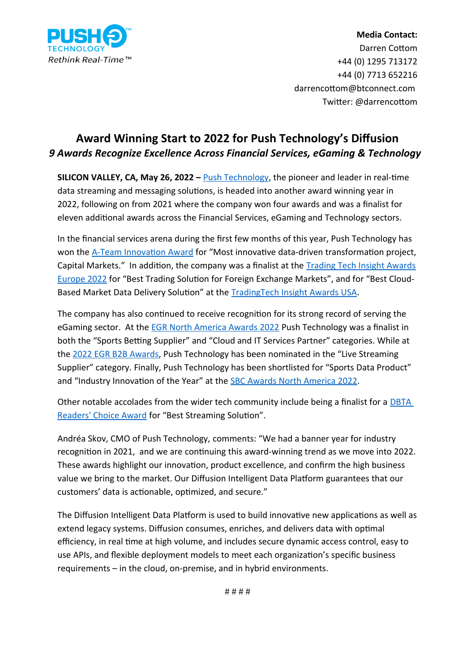

## **Media Contact:** Darren Cottom +44 (0) 1295 713172 +44 (0) 7713 652216 darrencottom@btconnect.com Twitter: @darrencottom

## **Award Winning Start to 2022 for Push Technology's Diffusion** *9 Awards Recognize Excellence Across Financial Services, eGaming & Technology*

**SILICON VALLEY, CA, May 26, 2022 –** *Push Technology*, the pioneer and leader in real-time data streaming and messaging solutions, is headed into another award winning year in 2022, following on from 2021 where the company won four awards and was a finalist for eleven additional awards across the Financial Services, eGaming and Technology sectors.

In the financial services arena during the first few months of this year, Push Technology has won the [A-Team Innovation Award](https://a-teaminsight.com/awards/a-team-innovation-awards/) for "Most innovative data-driven transformation project, Capital Markets." In addition, the company was a finalist at the [Trading Tech Insight Awards](https://a-teaminsight.com/awards/tradingtech-insight-awards-europe/) [Europe 2022](https://a-teaminsight.com/awards/tradingtech-insight-awards-europe/) for "Best Trading Solution for Foreign Exchange Markets", and for "Best Cloud-Based Market Data Delivery Solution" at the [TradingTech Insight Awards USA.](https://a-teaminsight.com/awards/tradingtech-insight-awards-north-america/)

The company has also continued to receive recognition for its strong record of serving the eGaming sector. At the [EGR North America Awards 2022](https://egrglobal.evessiocloud.com/EGRNAAwards2022/en/page/home) Push Technology was a finalist in both the "Sports Betting Supplier" and "Cloud and IT Services Partner" categories. While at the [2022 EGR B2B Awards](https://egrglobal.evessiocloud.com/EGRB2BAwards/en/page/home), Push Technology has been nominated in the "Live Streaming Supplier" category. Finally, Push Technology has been shortlisted for "Sports Data Product" and "Industry Innovation of the Year" at the [SBC Awards North America 2022](https://sbcevents.com/sbc-awards-north-america/).

Other notable accolades from the wider tech community include being a finalist for a [DBTA](https://www.dbta.com/Readers-Choice-Awards)  [Readers' Choice Award](https://www.dbta.com/Readers-Choice-Awards) for "Best Streaming Solution".

Andréa Skov, CMO of Push Technology, comments: "We had a banner year for industry recognition in 2021, and we are continuing this award-winning trend as we move into 2022. These awards highlight our innovation, product excellence, and confirm the high business value we bring to the market. Our Diffusion Intelligent Data Platform guarantees that our customers' data is actionable, optimized, and secure."

The Diffusion Intelligent Data Platform is used to build innovative new applications as well as extend legacy systems. Diffusion consumes, enriches, and delivers data with optimal efficiency, in real time at high volume, and includes secure dynamic access control, easy to use APIs, and flexible deployment models to meet each organization's specific business requirements – in the cloud, on-premise, and in hybrid environments.

# # # #